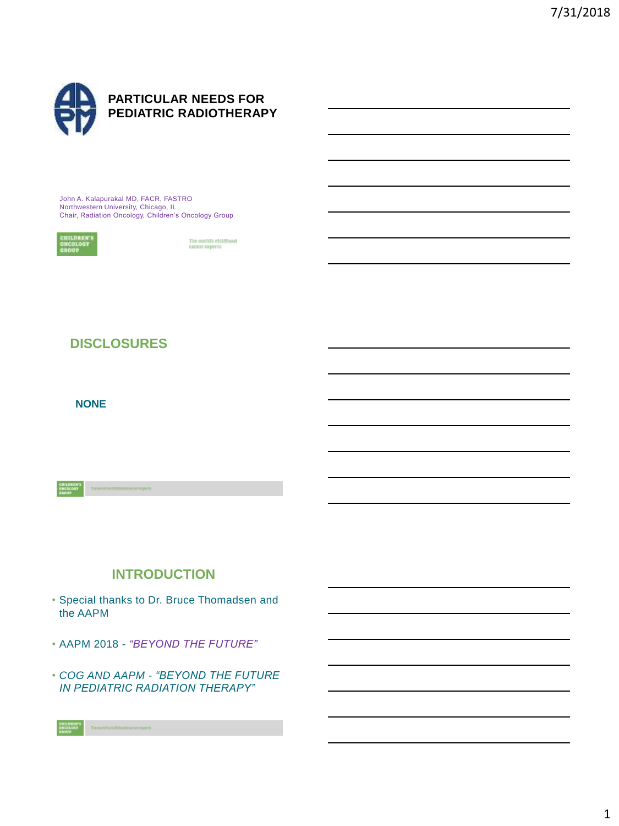

John A. Kalapurakal MD, FACR, FASTRO Northwestern University, Chicago, IL Chair, Radiation Oncology, Children's Oncology Group



The world's childhood<br>cancer experts

# **DISCLOSURES**

**NONE**

# **INTRODUCTION**

- Special thanks to Dr. Bruce Thomadsen and the AAPM
- AAPM 2018 *"BEYOND THE FUTURE"*
- *COG AND AAPM - "BEYOND THE FUTURE IN PEDIATRIC RADIATION THERAPY"*

ogets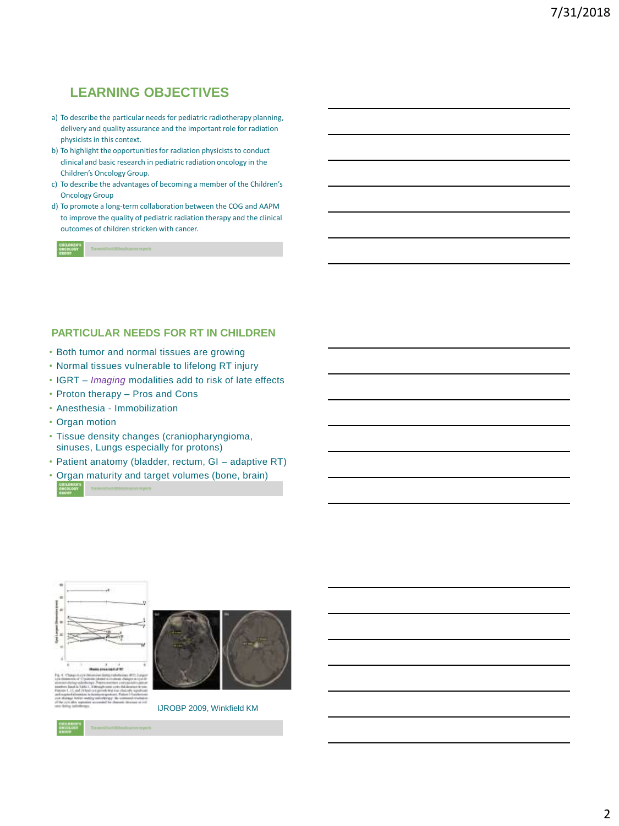# **LEARNING OBJECTIVES**

- a) To describe the particular needs for pediatric radiotherapy planning, delivery and quality assurance and the important role for radiation physicists in this context.
- b) To highlight the opportunities for radiation physicists to conduct clinical and basic research in pediatric radiation oncology in the Children's Oncology Group.
- c) To describe the advantages of becoming a member of the Children's Oncology Group
- d) To promote a long-term collaboration between the COG and AAPM to improve the quality of pediatric radiation therapy and the clinical outcomes of children stricken with cancer.

#### **PARTICULAR NEEDS FOR RT IN CHILDREN**

- Both tumor and normal tissues are growing
- Normal tissues vulnerable to lifelong RT injury
- IGRT *Imaging* modalities add to risk of late effects
- Proton therapy Pros and Cons
- Anesthesia Immobilization
- Organ motion
- Tissue density changes (craniopharyngioma, sinuses, Lungs especially for protons)
- Patient anatomy (bladder, rectum, GI adaptive RT)
- Organ maturity and target volumes (bone, brain)





IJROBP 2009, Winkfield KM

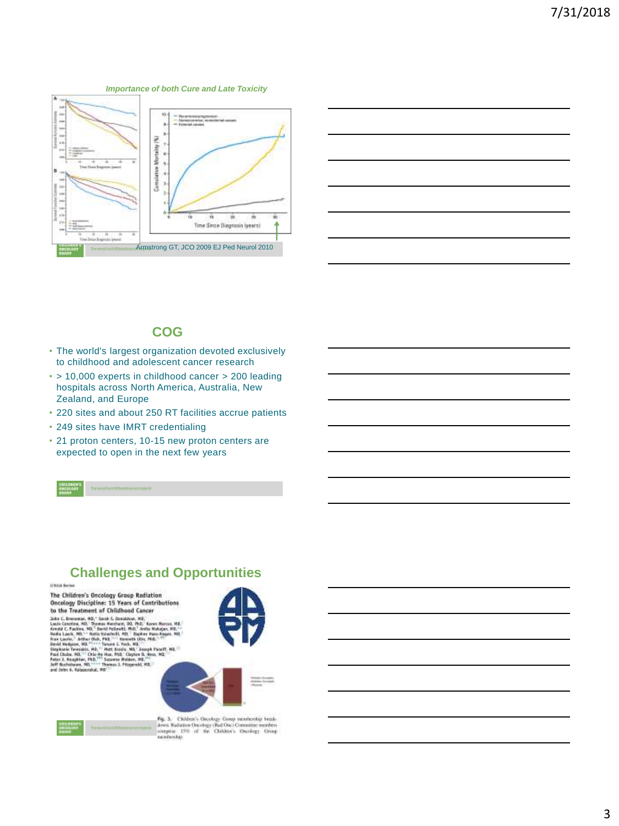#### *Importance of both Cure and Late Toxicity*





#### **COG**

- The world's largest organization devoted exclusively to childhood and adolescent cancer research
- > 10,000 experts in childhood cancer > 200 leading hospitals across North America, Australia, New Zealand, and Europe
- 220 sites and about 250 RT facilities accrue patients
- 249 sites have IMRT credentialing
- 21 proton centers, 10-15 new proton centers are expected to open in the next few years

## **Challenges and Opportunities**

**Official Busines** 

The Children's Oncology Group Radiation **Oncology Discipline: 15 Years of Contributions** to the Treatment of Childhood Cancer

To the Treatment of Christmas Constant Christmas (A), the Christmas Additional Christmas Additional Christmas (A), the Christmas March Christmas (A), the Christmas Constant Christmas (A), the Christmas Constant Christmas







 $\mathsf{Hg}_1$ 3. Children's Oncology Group membership breakdown Radiation Oncology (Rad Onc $\mathsf{Convers}$  -respires the children's Oncology Group manufactory.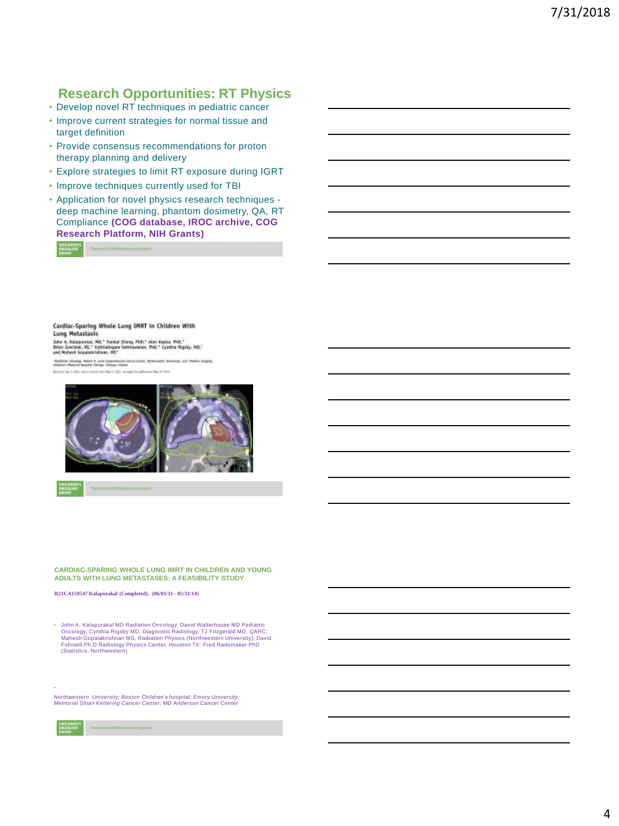# **Research Opportunities: RT Physics**

- Develop novel RT techniques in pediatric cancer
- Improve current strategies for normal tissue and target definition
- Provide consensus recommendations for proton therapy planning and delivery
- Explore strategies to limit RT exposure during IGRT
- Improve techniques currently used for TBI
- Application for novel physics research techniques deep machine learning, phantom dosimetry, QA, RT Compliance **(COG database, IROC archive, COG Research Platform, NIH Grants)**

streper reneal booklids clients

Cardiac-Sparing Whole Lung IMRT in Children With **Lung Metastasis** 

John A. Kalapunnist, MD, " Yunkai Zhang, PBD," Alan Kapisa, PhD,"<br>Drian Zaeristak, BS," Yydriatingam Sathianasian, PhD," Cymraia Rignity, MD,"<br>and Mahmak Gopalaiarlahaan, MS"

\*Rollyhin Strategy, March A. (poli Computessing Stock Corto, And<br>Children's Romerica Maydial Chicago, Elfreyn Ellinois and inference and Viether Anapog



**CARDIAC-SPARING WHOLE LUNG IMRT IN CHILDREN AND YOUNG ADULTS WITH LUNG METASTASES: A FEASIBILITY STUDY**

**R21CA159547 Kalapurakal (Completed). (06/01/11 - 05/31/14)**

- John A. Kalapurakal MD Radiation Oncology; David Walterhouse MD Pediatric<br>Oncology; Cynthia Rigsby MD, Diagnostic Radiology; TJ Fitzgerald MD, QARC;<br>Mahesh Gopalakrishnan MS, Radiation Physics (Northwestern University); (Statistics, Northwestern)

*Northwestern University; Boston Children's hospital; Emory University; Memorial Sloan Kettering Cancer Center; MD Anderson Cancer Center*

• Contractor of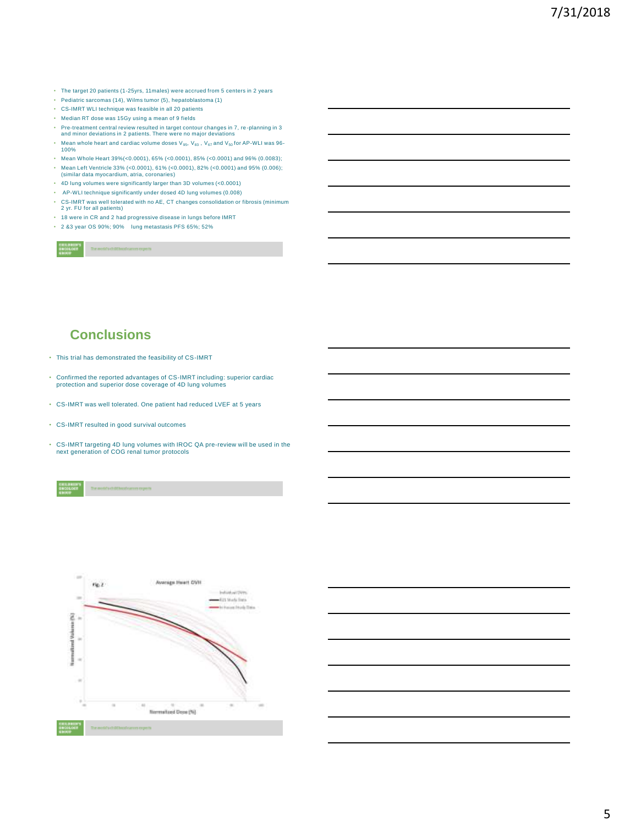- The target 20 patients (1-25yrs, 11males) were accrued from 5 centers in 2 years
- Pediatric sarcomas (14), Wilms tumor (5), hepatoblastoma (1)
- CS-IMRT WLI technique was feasible in all 20 patients
- Median RT dose was 15Gy using a mean of 9 fields
- Pre-treatment central review resulted in target contour changes in 7, re -planning in 3 and minor deviations in 2 patients. There were no major deviations
- Mean whole heart and cardiac volume doses V<sub>95</sub>, V<sub>83</sub> , V<sub>67</sub> and V<sub>50</sub> for AP-WLI was 96-<br>100%
- Mean Whole Heart 39%(<0.0001), 65% (<0.0001), 85% (<0.0001) and 96% (0.0083);
- Mean Left Ventricle 33% (<0.0001), 61% (<0.0001), 82% (<0.0001) and 95% (0.006); (similar data myocardium, atria, coronaries)
- 4D lung volumes were significantly larger than 3D volumes (<0.0001)
- AP-WLI technique significantly under dosed 4D lung volumes (0.008)
- CS-IMRT was well tolerated with no AE, CT changes consolidation or fibrosis (minimum 2 yr. FU for all patients)
- 18 were in CR and 2 had progressive disease in lungs before IMRT
- 2 &3 year OS 90%; 90% lung metastasis PFS 65%; 52%

city children location and

## **Conclusions**

- This trial has demonstrated the feasibility of CS-IMRT
- Confirmed the reported advantages of CS-IMRT including: superior cardiac protection and superior dose coverage of 4D lung volumes
- CS-IMRT was well tolerated. One patient had reduced LVEF at 5 years
- CS-IMRT resulted in good survival outcomes
- CS-IMRT targeting 4D lung volumes with IROC QA pre-review will be used in the next generation of COG renal tumor protocols

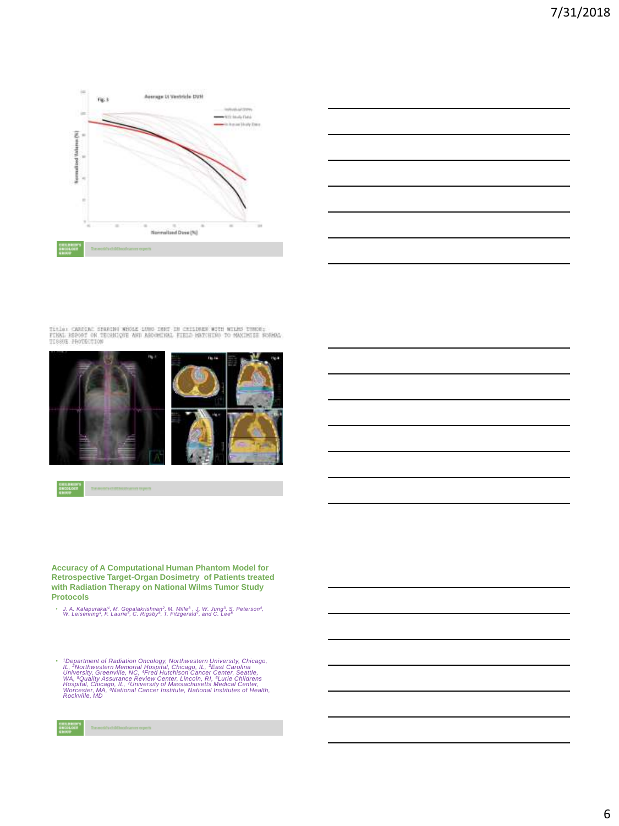



Title: CARSINE STRACHN WESSE LUNG INNT IN CESINEEN WITH WILMS TUNNE:<br>FINAL ESPOST ON TEGRALOGE AND ASSOCIALL FIELD MATGEDO TO MAXINIEE NORMAL<br>TISSUE PROTECTION



**Accuracy of A Computational Human Phantom Model for Retrospective Target-Organ Dosimetry of Patients treated with Radiation Therapy on National Wilms Tumor Study Protocols**

• J. A. Kalapurakal<sup>1</sup>, M. Gopalakrishnan<sup>2</sup>, M. Mille<sup>8</sup>, J. W. Jung<sup>3</sup>, S. Peterson<sup>4</sup>, W. Leisenring<sup>4</sup>, F. Laurie<sup>5</sup>, C. Rigsby<sup>6</sup>, T. Fitzgerald<sup>7</sup>, and C. Lee<sup>8</sup>

• 'Department of Radiation Oncology, Northwestern University, Chicago, IL, <sup>3</sup>East Carolina<br>'L, <sup>2</sup>Northwestern Memorial Hospital, Chicago, IL, <sup>3</sup>East Carolina<br>University, Greenville, NC, <sup>4</sup>Fred Hutchison Cancer Center, Se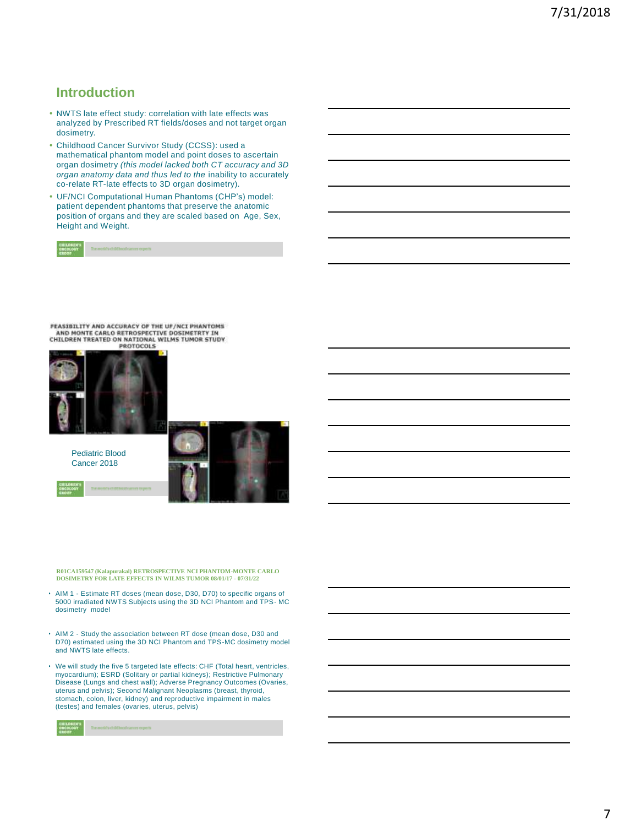## **Introduction**

- NWTS late effect study: correlation with late effects was analyzed by Prescribed RT fields/doses and not target organ dosimetry.
- Childhood Cancer Survivor Study (CCSS): used a mathematical phantom model and point doses to ascertain organ dosimetry *(this model lacked both CT accuracy and 3D organ anatomy data and thus led to the* inability to accurately co-relate RT-late effects to 3D organ dosimetry).
- UF/NCI Computational Human Phantoms (CHP's) model: patient dependent phantoms that preserve the anatomic position of organs and they are scaled based on Age, Sex, Height and Weight.

|  |  | The weekly child least cancer expects. |  |  |
|--|--|----------------------------------------|--|--|
|--|--|----------------------------------------|--|--|

FEASIBILITY AND ACCURACY OF THE UF/NCT PHANTOMS AND MONTE CARLO RETROSPECTIVE DOSIMETRTY IN<br>CHILDREN TREATED ON NATIONAL WILMS TUMOR STUDY



Pediatric Blood Cancer 2018



**R01CA159547 (Kalapurakal) RETROSPECTIVE NCI PHANTOM-MONTE CARLO DOSIMETRY FOR LATE EFFECTS IN WILMS TUMOR 08/01/17 - 07/31/22**

- AIM 1 Estimate RT doses (mean dose, D30, D70) to specific organs of 5000 irradiated NWTS Subjects using the 3D NCI Phantom and TPS- MC dosimetry model
- AIM 2 Study the association between RT dose (mean dose, D30 and D70) estimated using the 3D NCI Phantom and TPS-MC dosimetry model and NWTS late effects.
- We will study the five 5 targeted late effects: CHF (Total heart, ventricles, myocardium); ESRD (Solitary or partial kidneys); Restrictive Pulmonary Disease (Lungs and chest wall); Adverse Pregnancy Outcomes (Ovaries, uterus and pelvis); Second Malignant Neoplasms (breast, thyroid, stomach, colon, liver, kidney) and reproductive impairment in males (testes) and females (ovaries, uterus, pelvis)

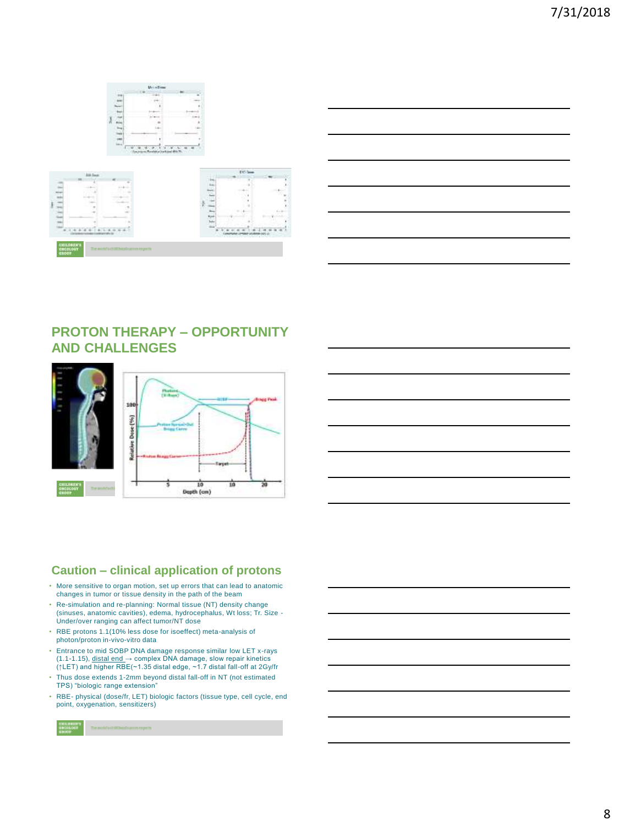





# **PROTON THERAPY – OPPORTUNITY AND CHALLENGES**



## **Caution – clinical application of protons**

- More sensitive to organ motion, set up errors that can lead to anatomic changes in tumor or tissue density in the path of the beam
- Re-simulation and re-planning: Normal tissue (NT) density change (sinuses, anatomic cavities), edema, hydrocephalus, Wt loss; Tr. Size - Under/over ranging can affect tumor/NT dose
- RBE protons 1.1(10% less dose for isoeffect) meta-analysis of photon/proton in-vivo-vitro data
- Entrance to mid SOBP DNA damage response similar low LET x-rays (1.1-1.15), distal end → complex DNA damage, slow repair kinetics (↑LET) and higher RBE(~1.35 distal edge, ~1.7 distal fall-off at 2Gy/fr
- Thus dose extends 1-2mm beyond distal fall-off in NT (not estimated TPS) "biologic range extension"
- RBE- physical (dose/fr, LET) biologic factors (tissue type, cell cycle, end point, oxygenation, sensitizers)

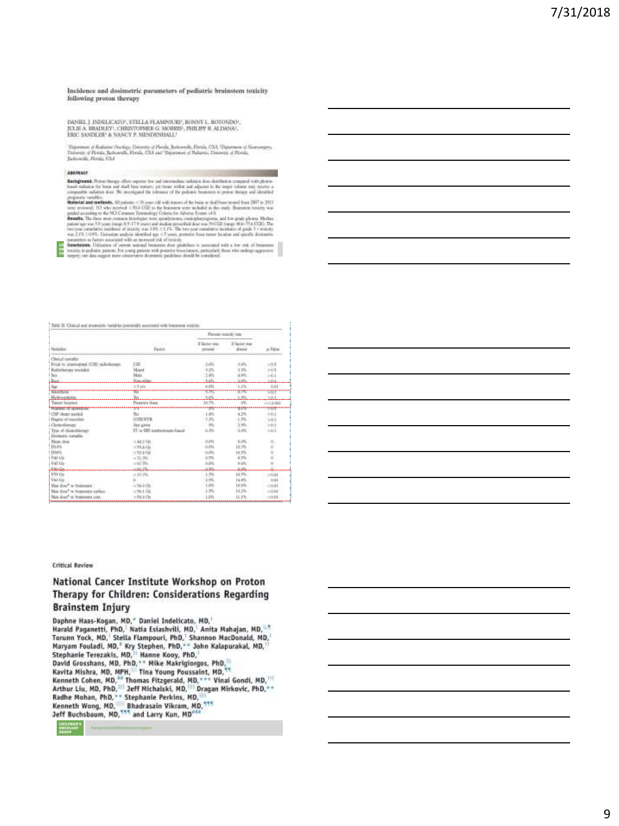Incidence and dosimetric purameters of pediatric brainstem toxicity following proton therapy

DANIEL J. DEMLICATO", STELLA FLAMPOURP, BONNY L. HOTONDO", JULIE A. BRADLEY, CHRISTOPHER G. MORRIS, PHILIPP R. ALDANAS, ERIC SANDLER' & NANCY, P. MENDENHALL!

nisto, peconiano e reservat e removinativno.<br>Usparano el Kornogovo, Usparano el Roch, Michael (Usparano el Kornogovo, Usparano el Riota, Indonésia, Illanda, Illanda, Illanda, Illanda, Illanda, Illanda, Illanda, Illanda, Il

#### ABSINACT

**ARRAIGENT From theme of the expectation and the solution deviation of deterministic compatibility of the control of the control of the control of the control of the control of the control of the control of the control of** 

|                                            |                               | Percent match's rate            |                        |                 |
|--------------------------------------------|-------------------------------|---------------------------------|------------------------|-----------------|
| Unisiden                                   | 12143<br>Factor               | If Substitute<br><b>VEYATAE</b> | If factor mas<br>doce: | $p$ , $1.8$ and |
| Clinical somation                          |                               |                                 |                        |                 |
| Ford vs. tranivarial (CSD rail-theapy      | <b>CSE</b>                    | 3.4%                            | 3.8%                   | 205             |
| Ratistiwegy masket                         | <b>XEned</b>                  | 1.0%                            | 15%                    | 203             |
| 931 A.C<br>Sex:                            | Skits                         | 2.45                            | 4.9%                   | > 0.1           |
| .                                          | <b>Norwacht</b>               | 525                             | 32%                    | 2221            |
|                                            | 43 pig                        | 6.8%                            | 1.1%                   | <b>D.EB</b>     |
| <b>TEMPER</b>                              |                               | - -                             | w                      | 567             |
| Helmerker.                                 |                               | ses                             | 5,3%                   | 20.1            |
| Tanar located                              | <b>Plaintist E4st</b>         | 99.7%                           | 95                     | $-0.0001$       |
|                                            |                               |                                 | m                      | mente           |
| CSP dearc number                           | May 1999                      | 1.45                            | 4.2%                   | > 0.0           |
| Dupor of marriers                          | GIRNIK                        | 7.3%                            | 1,5%                   | >0.1            |
| Gonoloney                                  | Any gives                     | $-774$                          | 2.9%                   | >0.1            |
| Tree of cheavers rapy<br>Departy condition | IT-ir III) carbettesato-hasal | 6.3N                            | ALMA.                  | $-5001$         |
| Meni dini                                  | $444.7$ Or.                   | <b>HAV</b>                      | (6.0%)                 |                 |
| Dirs                                       | $-254468$                     | 13.05                           | 18.5%                  | ţ.              |
| Dues.                                      | $-72.4$ Gs                    | ULON.                           | 18,5%                  | ù               |
| Nati Cir-                                  | $-11.35$                      | A.TTL                           | 4,9%                   |                 |
| W4E Gir                                    | $-47.5%$                      | 0.05                            | $8.4\%$                |                 |
| <b>Manufacture</b>                         | <b>CALL TON</b>               | $+10$                           | والأفراد               |                 |
| V99 Gir                                    | $-17.7%$                      | 1.3%                            | 12.5%                  | $-10046$        |
| <b>Shit Ga</b>                             |                               | 2.9%                            | 11.6%                  | 0.01            |
| Mice shout to brainesses                   | $-36.6$ Or                    | 1.8%                            | 13, 1%                 | $-0.01$         |
| May done" to Improvince surface:           | $-9h + 0k$                    | 1.3%                            | 11.1%                  | $-0.01$         |
|                                            |                               |                                 | 11.1%                  |                 |

#### THE II Could not know the work to presently normal with termines exists.

**Critical Review** 

#### National Cancer Institute Workshop on Proton Therapy for Children: Considerations Regarding **Brainstem Injury**

Daphne Haas-Kogan, MD," Daniel Indelicato, MD, Daphne Haas-Kogan, MD," Daniel Indelicato, MD,"<br>Harald Paganetti, PhD," Natia Esiashvili, MD," Anita Mahajan, MD," Torunn Yock, MD," Stella Flampouri, PhD," Shannon MacDonald, MD,"<br>Maryam Fouladí, MD," Kry Stephen, PhD," S Kenneth Cohen, MD, <sup>ar</sup> Thomas Fitzgerald, MD, \*\*\* Vinai Gondi, MD, \*\*<br>Arthur Liu, MD, PhD, \*\*\* Jeff Michalski, MD, \*\*\* Dinai Gondi, MD, \*\*<br>Radhe Mohan, PhD, \*\* Stephanie Perkins, MD, \*\*\* Kenneth Wong, MD,<sup>1875</sup> and Larry Kun, MD,<sup>1974</sup><br>Jeff Buchsbaum, MD,<sup>1975</sup> and Larry Kun, MD<sup>,1974</sup>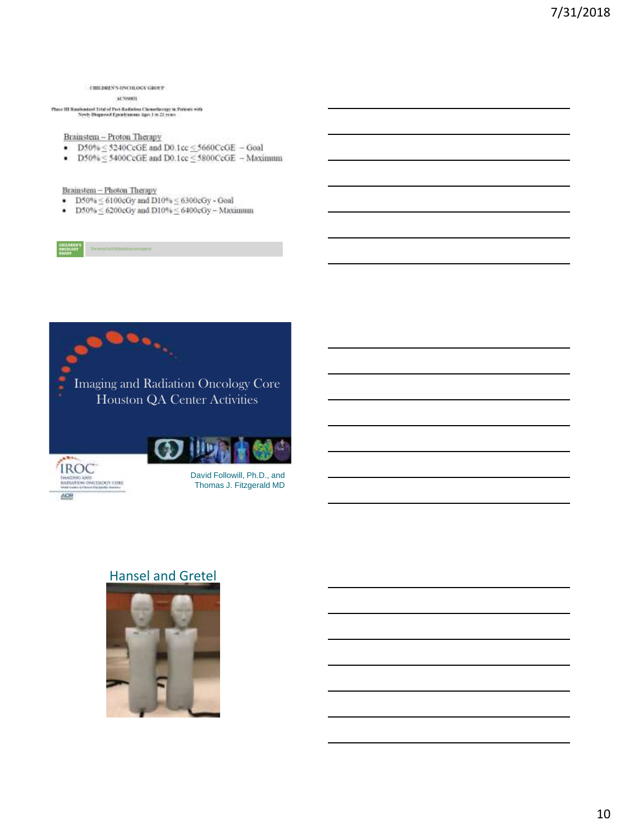#### CHILDREN'S ONCOLOGY GROUP acrossit

Chave III Ransboutard Trial of Pavi Radiation Chronoliperapy in Patients with Newty Diagnosed Epotebaneaus Ages I in 21 years

Brainstem - Proton Therapy

- $\bullet$  D50% < 5240CeGE and D0.1cc < 5660CeGE Goal
- D50%  $\leq$  5400CcGE and D0.1cc  $\leq$  5800CcGE  $-$  Maximum

Brainstem - Photon Therapy

- D50%  $\leq$  6100cGy and D10%  $\leq$  6300cGy Goal
- D50%  $\leq$  6200cGy and D10%  $\leq$  6400cGy Maximum



# Hansel and Gretel

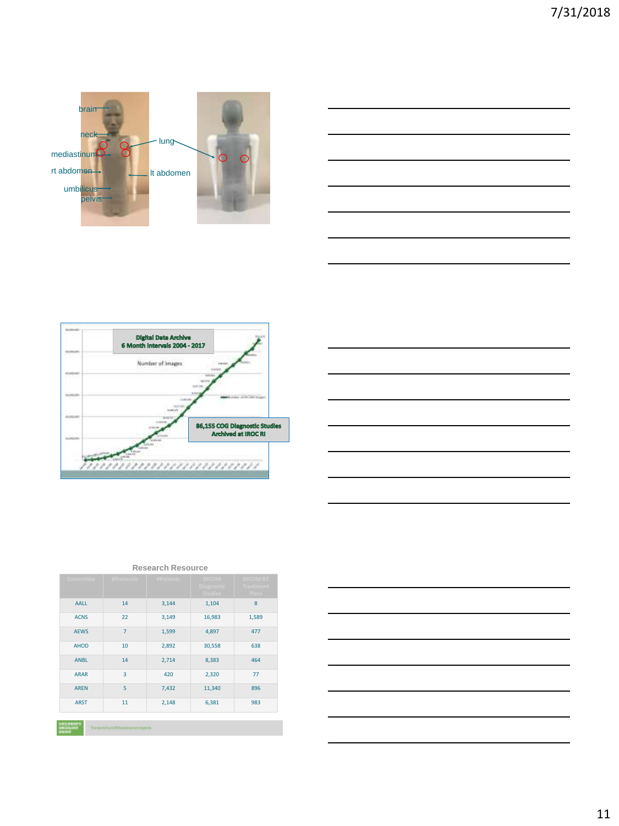







| <b>Committee</b>                       | #Protocols                          | #Patients | <b>DICOM</b><br><b>Diagnostic</b><br><b>Studies</b> | <b>DICOM RT</b><br><b>Treatment</b><br>Plans |
|----------------------------------------|-------------------------------------|-----------|-----------------------------------------------------|----------------------------------------------|
| <b>AALL</b>                            | 14                                  | 3,144     | 1,104                                               | 8                                            |
| <b>ACNS</b>                            | 22                                  | 3,149     | 16,983                                              | 1,589                                        |
| <b>AEWS</b>                            | $\overline{7}$                      | 1,599     | 4,897                                               | 477                                          |
| <b>AHOD</b>                            | 10                                  | 2,892     | 30,558                                              | 638                                          |
| <b>ANBL</b>                            | 14                                  | 2,714     | 8,383                                               | 464                                          |
| <b>ARAR</b>                            | 3                                   | 420       | 2,320                                               | 77                                           |
| <b>ARFN</b>                            | 5                                   | 7,432     | 11,340                                              | 896                                          |
| <b>ARST</b>                            | 11                                  | 2,148     | 6,381                                               | 983                                          |
|                                        |                                     |           |                                                     |                                              |
| <b>CRILBRID'S</b><br>ENCOLOGY<br>63000 | The weekly childhood cancer expects |           |                                                     |                                              |

#### **Research Resource**

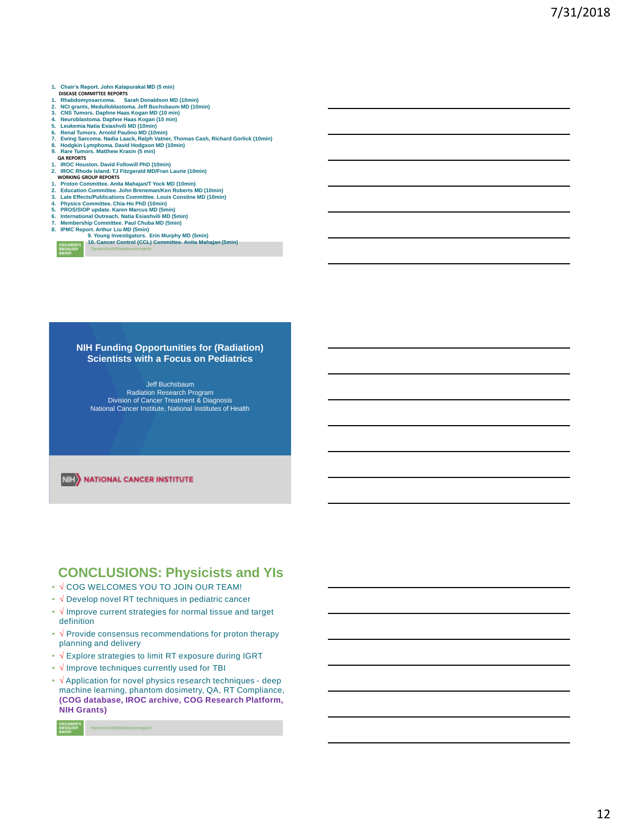- **1. Chair's Report. John Kalapurakal MD (5 min) DISEASE COMMITTEE REPORTS**
- 
- 1. Rhabdomyosarcoma. Sarah Donaldson MD (10min)<br>2. NCI grants, Medulloblastoma. Jeff Buchsbaum MD (10min)<br>3. CNS Tumors. Daphne Haas Kogan MD (10 min)<br>4. Neuroblastoma. Daphne Haas Kogan (10 min)
- 
- 
- 
- 
- 5. Leukemia Natia Esiashvili MD (10min)<br>6. Renal Tumors. Arnold Paulino MD (10min)<br>7. Ewing Sarcoma. Nadia Laack, Ralph Vatner, Thomas Cash, Richard Gorlick (10min)<br>8. Rodgkin Lymphoma. David Hodgson MD (10min)<br>9. Rare Tum
- 
- **QA REPORTS**
- 
- **1. IROC Houston. David Followill PhD (10min) 2. IROC Rhode Island. TJ Fitzgerald MD/Fran Laurie (10min) WORKING GROUP REPORTS**
- 
- 
- **1. Proton Committee. Anita Mahajan/T Yock MD (10min) 2. Education Committee. John Breneman/Ken Roberts MD (10min) 3. Late Effects/Publications Committee. Louis Constine MD (10min)**
- 
- **4. Physics Committee. Chia-Ho PhD (10min) 5. PROS/SIOP update. Karen Marcus MD (5min)**
- 
- -



6. International Outreach. Natia Esiashvili MD (5min)<br>7. Membership Committee. Paul Chuba MD (5min)<br>8. IPMC Report. Arthur Liu MD (5min)<br>9. Young Investigators.. Erin Murphy MD (5min)<br>10. Cancer Control (CCL) Committee. An

#### **NIH Funding Opportunities for (Radiation) Scientists with a Focus on Pediatrics**

Jeff Buchsbaum Radiation Research Program Division of Cancer Treatment & Diagnosis National Cancer Institute, National Institutes of Health

**NIE** NATIONAL CANCER INSTITUTE

## **CONCLUSIONS: Physicists and YIs**

- √ COG WELCOMES YOU TO JOIN OUR TEAM!
- √ Develop novel RT techniques in pediatric cancer
- √ Improve current strategies for normal tissue and target definition
- √ Provide consensus recommendations for proton therapy planning and delivery
- √ Explore strategies to limit RT exposure during IGRT
- √ Improve techniques currently used for TBI
- √ Application for novel physics research techniques deep machine learning, phantom dosimetry, QA, RT Compliance, **(COG database, IROC archive, COG Research Platform, NIH Grants)**